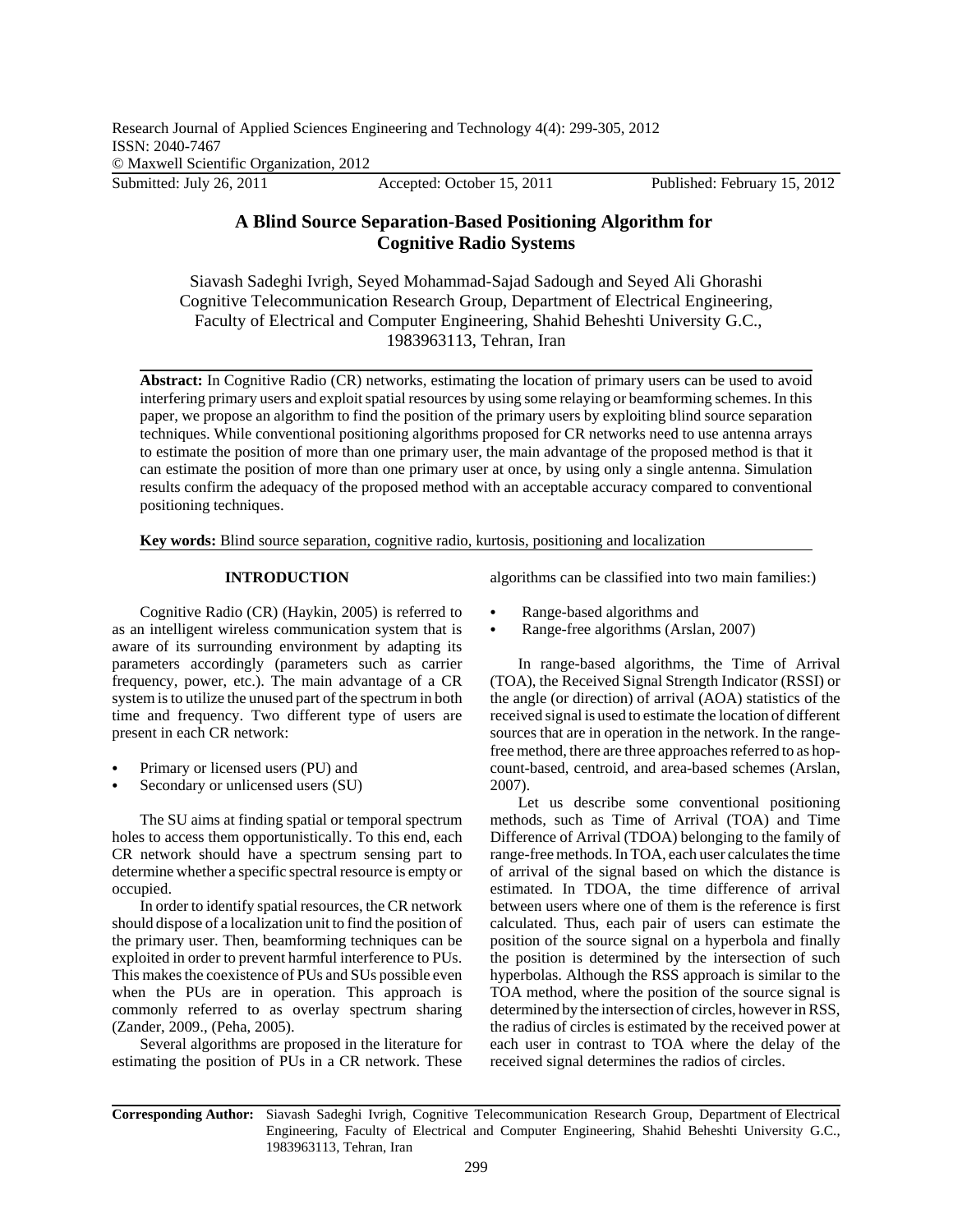# **A Blind Source Separation-Based Positioning Algorithm for Cognitive Radio Systems**

Siavash Sadeghi Ivrigh, Seyed Mohammad-Sajad Sadough and Seyed Ali Ghorashi Cognitive Telecommunication Research Group, Department of Electrical Engineering, Faculty of Electrical and Computer Engineering, Shahid Beheshti University G.C., 1983963113, Tehran, Iran

**Abstract:** In Cognitive Radio (CR) networks, estimating the location of primary users can be used to avoid interfering primary users and exploit spatial resources by using some relaying or beamforming schemes. In this paper, we propose an algorithm to find the position of the primary users by exploiting blind source separation techniques. While conventional positioning algorithms proposed for CR networks need to use antenna arrays to estimate the position of more than one primary user, the main advantage of the proposed method is that it can estimate the position of more than one primary user at once, by using only a single antenna. Simulation results confirm the adequacy of the proposed method with an acceptable accuracy compared to conventional positioning techniques.

**Key words:** Blind source separation, cognitive radio, kurtosis, positioning and localization

# **INTRODUCTION**

Cognitive Radio (CR) (Haykin, 2005) is referred to as an intelligent wireless communication system that is aware of its surrounding environment by adapting its parameters accordingly (parameters such as carrier frequency, power, etc.). The main advantage of a CR system is to utilize the unused part of the spectrum in both time and frequency. Two different type of users are present in each CR network:

- Primary or licensed users (PU) and
- Secondary or unlicensed users (SU)

The SU aims at finding spatial or temporal spectrum holes to access them opportunistically. To this end, each CR network should have a spectrum sensing part to determine whether a specific spectral resource is empty or occupied.

In order to identify spatial resources, the CR network should dispose of a localization unit to find the position of the primary user. Then, beamforming techniques can be exploited in order to prevent harmful interference to PUs. This makes the coexistence of PUs and SUs possible even when the PUs are in operation. This approach is commonly referred to as overlay spectrum sharing (Zander, 2009., (Peha, 2005).

Several algorithms are proposed in the literature for estimating the position of PUs in a CR network. These

algorithms can be classified into two main families:)

- Range-based algorithms and
- Range-free algorithms (Arslan, 2007)

In range-based algorithms, the Time of Arrival (TOA), the Received Signal Strength Indicator (RSSI) or the angle (or direction) of arrival (AOA) statistics of the received signal is used to estimate the location of different sources that are in operation in the network. In the rangefree method, there are three approaches referred to as hopcount-based, centroid, and area-based schemes (Arslan, 2007).

Let us describe some conventional positioning methods, such as Time of Arrival (TOA) and Time Difference of Arrival (TDOA) belonging to the family of range-free methods. In TOA, each user calculates the time of arrival of the signal based on which the distance is estimated. In TDOA, the time difference of arrival between users where one of them is the reference is first calculated. Thus, each pair of users can estimate the position of the source signal on a hyperbola and finally the position is determined by the intersection of such hyperbolas. Although the RSS approach is similar to the TOA method, where the position of the source signal is determined by the intersection of circles, however in RSS, the radius of circles is estimated by the received power at each user in contrast to TOA where the delay of the received signal determines the radios of circles.

**Corresponding Author:** Siavash Sadeghi Ivrigh, Cognitive Telecommunication Research Group, Department of Electrical Engineering, Faculty of Electrical and Computer Engineering, Shahid Beheshti University G.C., 1983963113, Tehran, Iran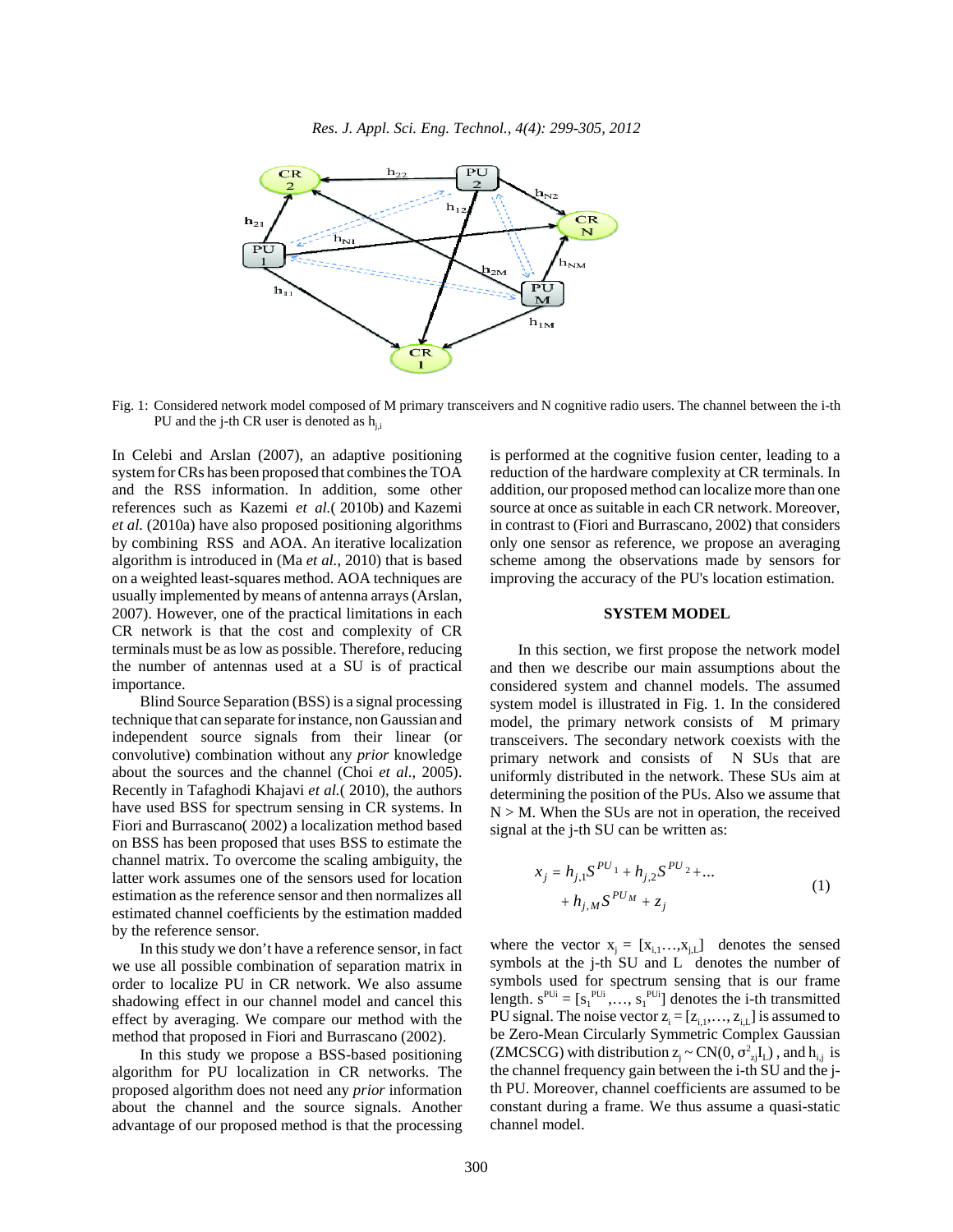

Fig. 1: Considered network model composed of M primary transceivers and N cognitive radio users. The channel between the i-th PU and the j-th CR user is denoted as  $h_{i,j}$ 

In Celebi and Arslan (2007), an adaptive positioning system for CRs has been proposed that combines the TOA and the RSS information. In addition, some other references such as Kazemi *et al.*( 2010b) and Kazemi *et al.* (2010a) have also proposed positioning algorithms by combining RSS and AOA. An iterative localization algorithm is introduced in (Ma *et al.*, 2010) that is based on a weighted least-squares method. AOA techniques are usually implemented by means of antenna arrays (Arslan, 2007). However, one of the practical limitations in each CR network is that the cost and complexity of CR terminals must be as low as possible. Therefore, reducing the number of antennas used at a SU is of practical importance.

Blind Source Separation (BSS) is a signal processing technique that can separate for instance, non Gaussian and independent source signals from their linear (or convolutive) combination without any *prior* knowledge about the sources and the channel (Choi *et al*., 2005). Recently in Tafaghodi Khajavi *et al.*( 2010), the authors have used BSS for spectrum sensing in CR systems. In Fiori and Burrascano( 2002) a localization method based on BSS has been proposed that uses BSS to estimate the channel matrix. To overcome the scaling ambiguity, the latter work assumes one of the sensors used for location estimation as the reference sensor and then normalizes all estimated channel coefficients by the estimation madded by the reference sensor.

In this study we don't have a reference sensor, in fact we use all possible combination of separation matrix in order to localize PU in CR network. We also assume shadowing effect in our channel model and cancel this effect by averaging. We compare our method with the method that proposed in Fiori and Burrascano (2002).

In this study we propose a BSS-based positioning algorithm for PU localization in CR networks. The proposed algorithm does not need any *prior* information about the channel and the source signals. Another advantage of our proposed method is that the processing is performed at the cognitive fusion center, leading to a reduction of the hardware complexity at CR terminals. In addition, our proposed method can localize more than one source at once as suitable in each CR network. Moreover, in contrast to (Fiori and Burrascano, 2002) that considers only one sensor as reference, we propose an averaging scheme among the observations made by sensors for improving the accuracy of the PU's location estimation.

# **SYSTEM MODEL**

In this section, we first propose the network model and then we describe our main assumptions about the considered system and channel models. The assumed system model is illustrated in Fig. 1. In the considered model, the primary network consists of M primary transceivers. The secondary network coexists with the primary network and consists of N SUs that are uniformly distributed in the network. These SUs aim at determining the position of the PUs. Also we assume that  $N > M$ . When the SUs are not in operation, the received signal at the j-th SU can be written as:

$$
x_j = h_{j,1} S^{PU_1} + h_{j,2} S^{PU_2} + \dots
$$
  
+ 
$$
h_{j,M} S^{PU_M} + z_j
$$
 (1)

where the vector  $x_i = [x_{i,1},...,x_{i,L}]$  denotes the sensed symbols at the j-th SU and L denotes the number of symbols used for spectrum sensing that is our frame length.  $s^{PUi} = [s_1^{PUi}, \dots, s_1^{PUi}]$  denotes the i-th transmitted PU signal. The noise vector  $z_i = [z_{i,1},..., z_{i,L}]$  is assumed to be Zero-Mean Circularly Symmetric Complex Gaussian (ZMCSCG) with distribution  $z_j \sim CN(0, \sigma_{zi}^2 I_L)$ , and  $h_{i,j}$  is the channel frequency gain between the i-th SU and the jth PU. Moreover, channel coefficients are assumed to be constant during a frame. We thus assume a quasi-static channel model.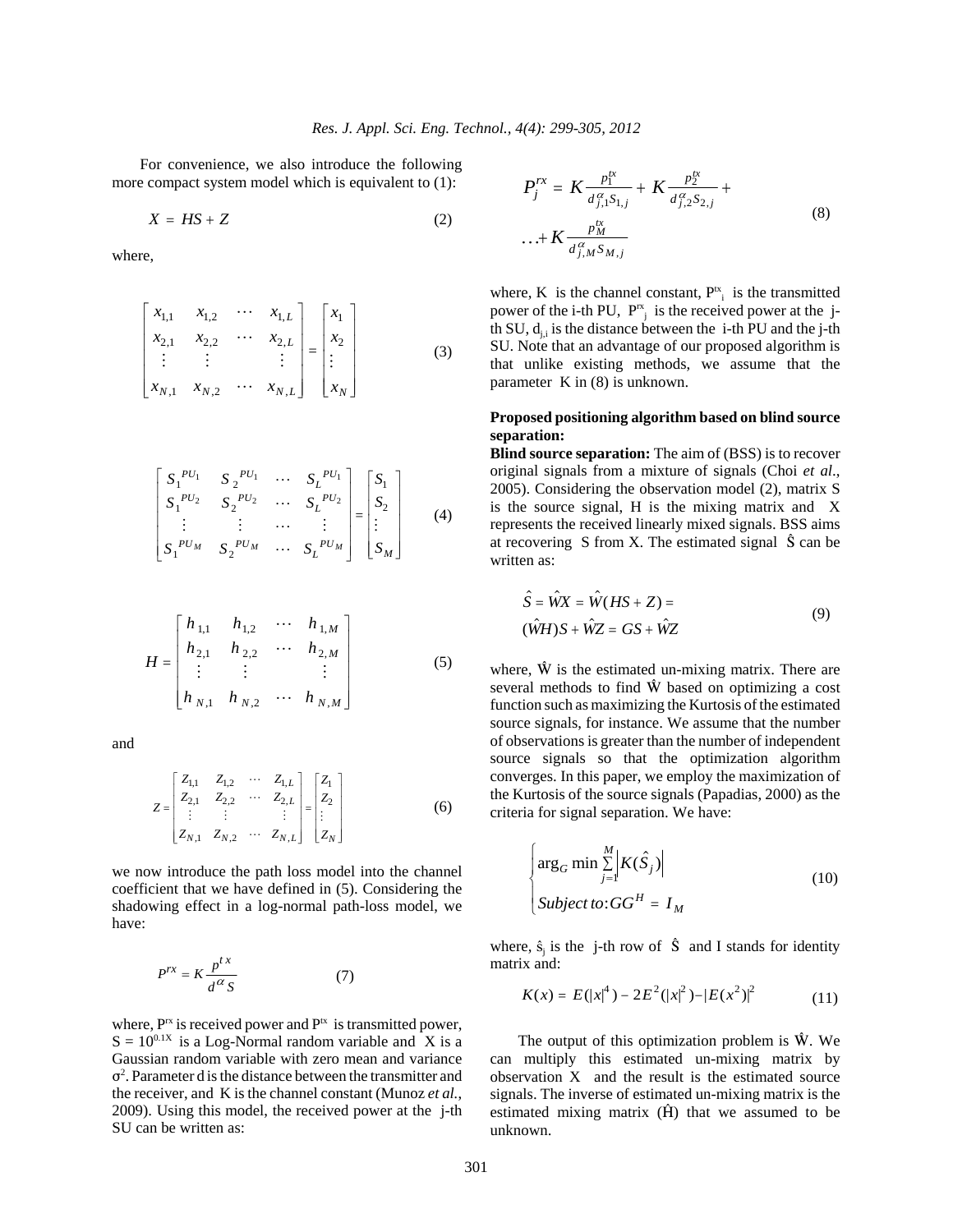For convenience, we also introduce the following more compact system model which is equivalent to  $(1)$ :

$$
X = HS + Z \tag{2}
$$

where,

$$
\begin{bmatrix} x_{1,1} & x_{1,2} & \cdots & x_{1,L} \\ x_{2,1} & x_{2,2} & \cdots & x_{2,L} \\ \vdots & \vdots & & \vdots \\ x_{N,1} & x_{N,2} & \cdots & x_{N,L} \end{bmatrix} = \begin{bmatrix} x_1 \\ x_2 \\ \vdots \\ x_N \end{bmatrix}
$$
 (3)

$$
\begin{bmatrix} S_1^{PU_1} & S_2^{PU_1} & \cdots & S_L^{PU_1} \\ S_1^{PU_2} & S_2^{PU_2} & \cdots & S_L^{PU_2} \\ \vdots & \vdots & \cdots & \vdots \\ S_1^{PU_M} & S_2^{PU_M} & \cdots & S_L^{PU_M} \end{bmatrix} = \begin{bmatrix} S_1 \\ S_2 \\ \vdots \\ S_M \end{bmatrix}
$$
 (4)

$$
H = \begin{bmatrix} h_{1,1} & h_{1,2} & \cdots & h_{1,M} \\ h_{2,1} & h_{2,2} & \cdots & h_{2,M} \\ \vdots & \vdots & & \vdots \\ h_{N,1} & h_{N,2} & \cdots & h_{N,M} \end{bmatrix}
$$
 (5)

and

$$
Z = \begin{bmatrix} Z_{1,1} & Z_{1,2} & \cdots & Z_{1,L} \\ Z_{2,1} & Z_{2,2} & \cdots & Z_{2,L} \\ \vdots & \vdots & & \vdots \\ Z_{N,1} & Z_{N,2} & \cdots & Z_{N,L} \end{bmatrix} = \begin{bmatrix} Z_1 \\ Z_2 \\ \vdots \\ Z_N \end{bmatrix}
$$
 (6)

we now introduce the path loss model into the channel coefficient that we have defined in (5). Considering the shadowing effect in a log-normal path-loss model, we have:

$$
P^{rx} = K \frac{p^{tx}}{d^{\alpha} S} \tag{7}
$$

where,  $P^{rx}$  is received power and  $P^{tx}$  is transmitted power,  $S = 10^{0.1X}$  is a Log-Normal random variable and X is a Gaussian random variable with zero mean and variance  $\sigma^2$ . Parameter d is the distance between the transmitter and the receiver, and K is the channel constant (Munoz *et al.*, 2009). Using this model, the received power at the j-th SU can be written as:

$$
P_j^{rx} = K \frac{p_1^{tx}}{d_{j,1}^{\alpha} S_{1,j}} + K \frac{p_2^{tx}}{d_{j,2}^{\alpha} S_{2,j}} + \dots + K \frac{p_M^{tx}}{d_{j,M}^{\alpha} S_{M,j}}
$$
(8)

where, K is the channel constant,  $P_{i}^{tx}$  is the transmitted where,  $\bf{K}$  is the channel constant,  $\bf{r}$  is the transmitted power of the i-th PU,  $\bf{P}^{\rm rx}$  is the received power at the jth SU,  $d_{ij}$  is the distance between the i-th PU and the j-th SU. Note that an advantage of our proposed algorithm is that unlike existing methods, we assume that the parameter K in (8) is unknown.

# **Proposed positioning algorithm based on blind source separation:**

**Blind source separation:** The aim of (BSS) is to recover original signals from a mixture of signals (Choi *et al*., 2005). Considering the observation model (2), matrix S is the source signal, H is the mixing matrix and X represents the received linearly mixed signals. BSS aims at recovering S from X. The estimated signal  $\hat{S}$  can be written as:

$$
\hat{S} = \hat{W}X = \hat{W}(HS + Z) =
$$
  
(
$$
\hat{W}H)S + \hat{W}Z = GS + \hat{W}Z
$$
 (9)

where,  $\hat{W}$  is the estimated un-mixing matrix. There are several methods to find  $\hat{W}$  based on optimizing a cost function such as maximizing the Kurtosis of the estimated source signals, for instance. We assume that the number of observations is greater than the number of independent source signals so that the optimization algorithm converges. In this paper, we employ the maximization of the Kurtosis of the source signals (Papadias, 2000) as the criteria for signal separation. We have:

$$
\begin{cases}\n\arg_G \min \sum_{j=1}^{M} \left| K(\hat{S}_j) \right| \\
\text{Subject to:} \mathbf{G} \mathbf{G}^H = I_M\n\end{cases}
$$
\n(10)

where,  $\hat{s}_i$  is the j-th row of  $\hat{S}$  and I stands for identity matrix and:

$$
K(x) = E(|x|^4) - 2E^2(|x|^2) - |E(x^2)|^2 \tag{11}
$$

The output of this optimization problem is  $\hat{W}$ . We can multiply this estimated un-mixing matrix by observation X and the result is the estimated source signals. The inverse of estimated un-mixing matrix is the estimated mixing matrix  $(\hat{H})$  that we assumed to be unknown.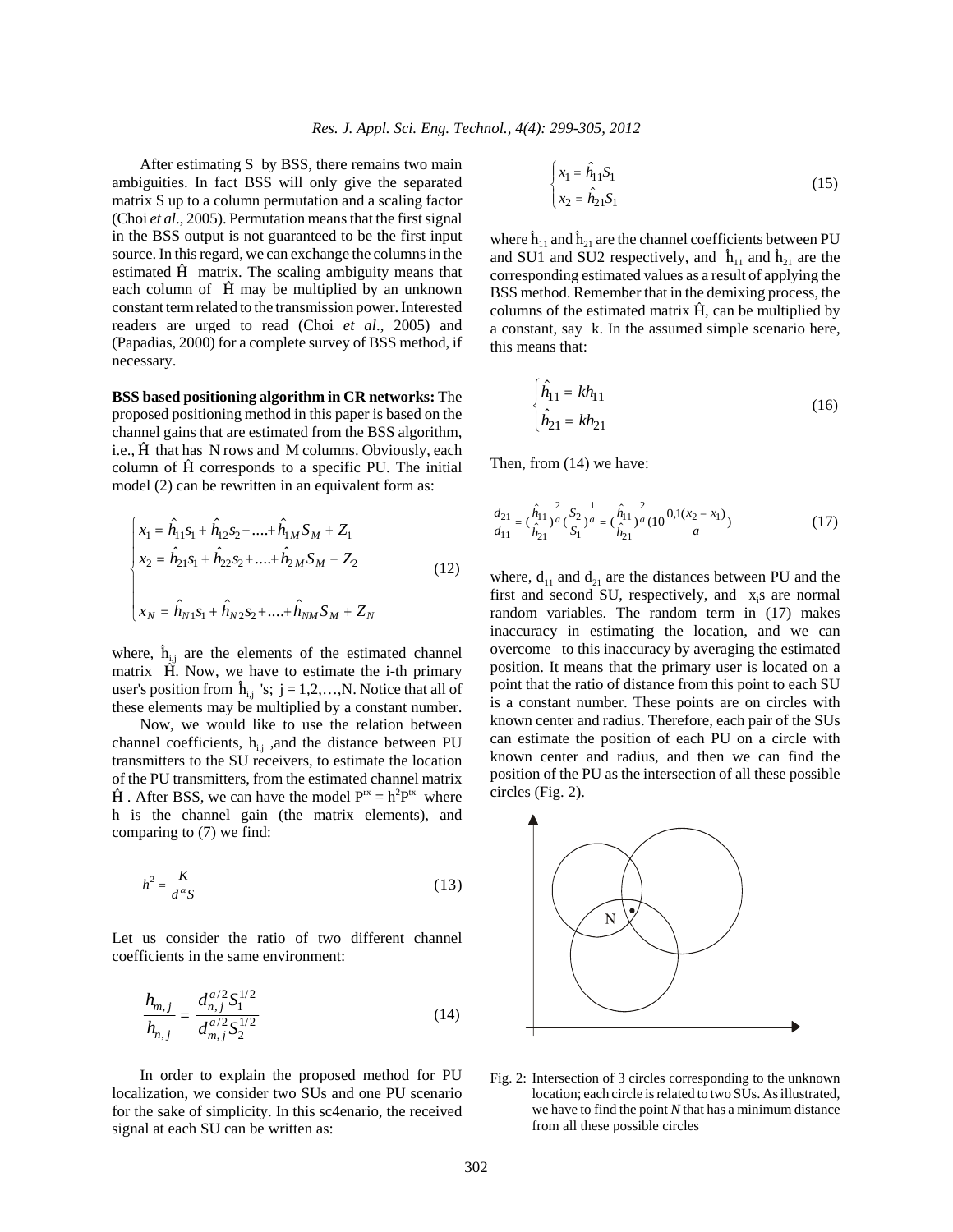After estimating S by BSS, there remains two main ambiguities. In fact BSS will only give the separated matrix S up to a column permutation and a scaling factor (Choi *et al*., 2005). Permutation means that the first signal in the BSS output is not guaranteed to be the first input source. In this regard, we can exchange the columns in the estimated  $\hat{H}$  matrix. The scaling ambiguity means that each column of  $\hat{H}$  may be multiplied by an unknown constant term related to the transmission power. Interested readers are urged to read (Choi *et al*., 2005) and (Papadias, 2000) for a complete survey of BSS method, if necessary.

**BSS based positioning algorithm in CR networks:** The proposed positioning method in this paper is based on the channel gains that are estimated from the BSS algorithm, i.e., H that has N rows and M columns. Obviously, each column of  $\hat{H}$  corresponds to a specific PU. The initial model (2) can be rewritten in an equivalent form as:

$$
\begin{cases}\nx_1 = \hat{h}_{11} s_1 + \hat{h}_{12} s_2 + \dots + \hat{h}_{1M} S_M + Z_1 \\
x_2 = \hat{h}_{21} s_1 + \hat{h}_{22} s_2 + \dots + \hat{h}_{2M} S_M + Z_2 \\
x_N = \hat{h}_{N1} s_1 + \hat{h}_{N2} s_2 + \dots + \hat{h}_{NM} S_M + Z_N\n\end{cases} (12)
$$

where,  $\hat{h}_{i,j}$  are the elements of the estimated channel matrix  $\hat{H}$ . Now, we have to estimate the i-th primary user's position from  $\hat{\mathbf{h}}_{i,j}$  's;  $j = 1,2,...,N$ . Notice that all of these elements may be multiplied by a constant number.

Now, we would like to use the relation between channel coefficients,  $h_{i,j}$ , and the distance between PU transmitters to the SU receivers, to estimate the location of the PU transmitters, from the estimated channel matrix  $\hat{H}$ . After BSS, we can have the model  $P^{rx} = h^2 P^{tx}$  where h is the channel gain (the matrix elements), and comparing to (7) we find:

$$
h^2 = \frac{K}{d^{\alpha}S} \tag{13}
$$

Let us consider the ratio of two different channel coefficients in the same environment:

$$
\frac{h_{m,j}}{h_{n,j}} = \frac{d_{m,j}^{a/2} S_1^{1/2}}{d_{m,j}^{a/2} S_2^{1/2}}
$$
(14)

In order to explain the proposed method for PU localization, we consider two SUs and one PU scenario for the sake of simplicity. In this sc4enario, the received signal at each SU can be written as:

$$
\begin{cases} x_1 = \hat{h}_{11} S_1 \\ x_2 = \hat{h}_{21} S_1 \end{cases}
$$
 (15)

where  $\hat{h}_{11}$  and  $\hat{h}_{21}$  are the channel coefficients between PU and SU1 and SU2 respectively, and  $\hat{h}_{11}$  and  $\hat{h}_{21}$  are the corresponding estimated values as a result of applying the BSS method. Remember that in the demixing process, the columns of the estimated matrix  $\hat{H}$ , can be multiplied by a constant, say k. In the assumed simple scenario here, this means that:

$$
\hat{h}_{11} = kh_{11} \n\hat{h}_{21} = kh_{21}
$$
\n(16)

Then, from (14) we have:

$$
\frac{d_{21}}{d_{11}} = (\frac{\hat{h}_{11}}{\hat{h}_{21}})^{\frac{2}{a}} (\frac{S_2}{S_1})^{\frac{1}{a}} = (\frac{\hat{h}_{11}}{\hat{h}_{21}})^{\frac{2}{a}} (10 \frac{0.1(x_2 - x_1)}{a})
$$
(17)

where,  $d_{11}$  and  $d_{21}$  are the distances between PU and the first and second SU, respectively, and  $x_i$ s are normal random variables. The random term in (17) makes inaccuracy in estimating the location, and we can overcome to this inaccuracy by averaging the estimated position. It means that the primary user is located on a point that the ratio of distance from this point to each SU is a constant number. These points are on circles with known center and radius. Therefore, each pair of the SUs can estimate the position of each PU on a circle with known center and radius, and then we can find the position of the PU as the intersection of all these possible circles (Fig. 2).



Fig. 2: Intersection of 3 circles corresponding to the unknown location; each circle is related to two SUs. As illustrated, we have to find the point *N* that has a minimum distance from all these possible circles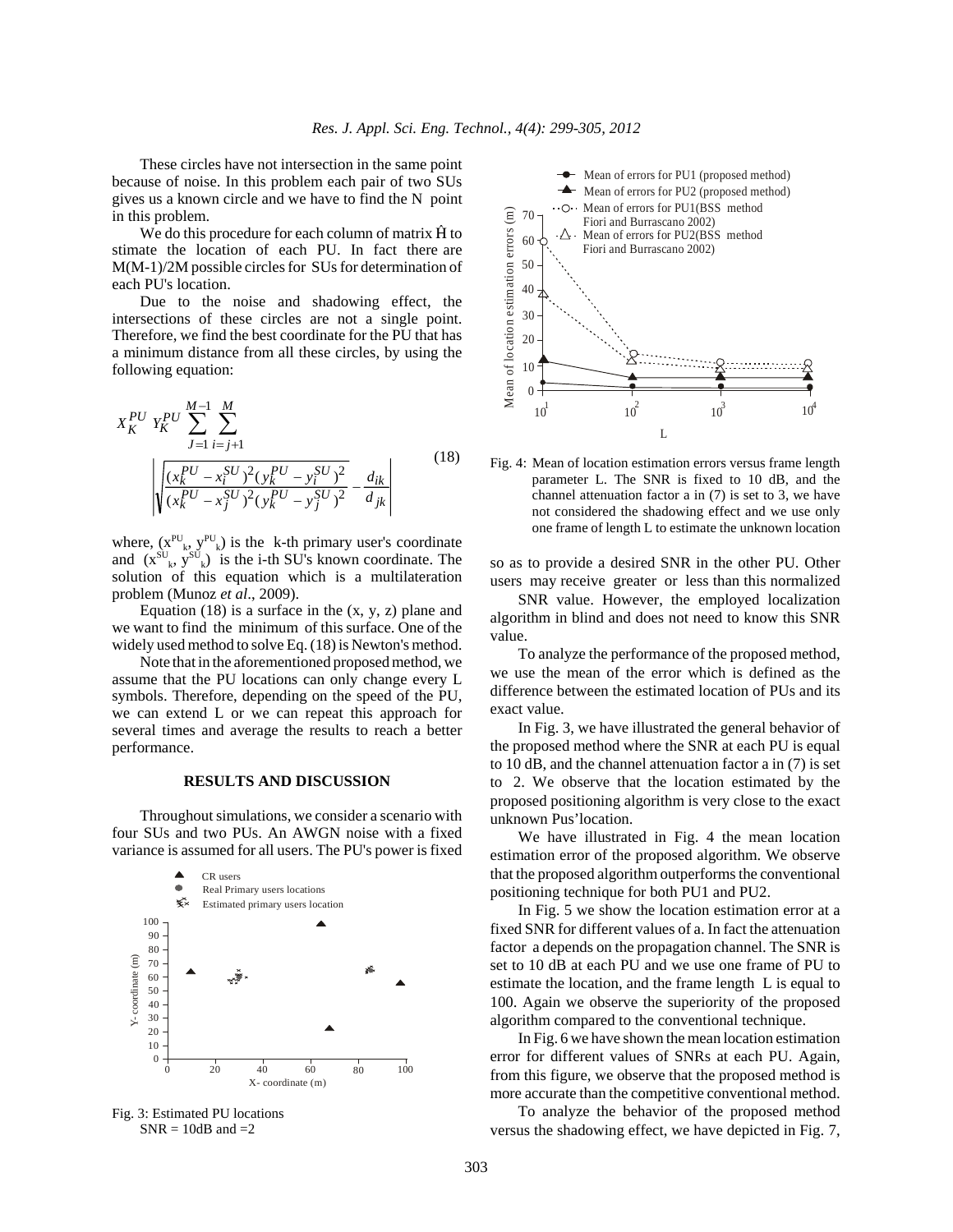These circles have not intersection in the same point because of noise. In this problem each pair of two SUs gives us a known circle and we have to find the N point in this problem.

We do this procedure for each column of matrix  $\hat{H}$  to stimate the location of each PU. In fact there are M(M-1)/2M possible circles for SUs for determination of each PU's location.

Due to the noise and shadowing effect, the intersections of these circles are not a single point. Therefore, we find the best coordinate for the PU that has a minimum distance from all these circles, by using the following equation:

$$
X_K^{PU} Y_K^{PU} \sum_{J=1}^{M-1} \sum_{i=j+1}^{M} \sum_{i=j+1}^{M} \left( \frac{(x_k^{PU} - x_i^{SU})^2 (y_k^{PU} - y_i^{SU})^2}{(x_k^{PU} - x_j^{SU})^2 (y_k^{PU} - y_j^{SU})^2} - \frac{d_{ik}}{d_{jk}} \right)
$$
(18)

where,  $(x^{PU}_{k}, y^{PU}_{k})$  is the k-th primary user's coordinate and  $(x^{SU}_{k}, y^{SU}_{k})$  is the i-th SU's known coordinate. The solution of this equation which is a multilateration problem (Munoz *et al*., 2009).

Equation  $(18)$  is a surface in the  $(x, y, z)$  plane and we want to find the minimum of this surface. One of the widely used method to solve Eq. (18) is Newton's method.

Note that in the aforementioned proposed method, we assume that the PU locations can only change every L symbols. Therefore, depending on the speed of the PU, we can extend L or we can repeat this approach for several times and average the results to reach a better performance.

#### **RESULTS AND DISCUSSION**

Throughout simulations, we consider a scenario with four SUs and two PUs. An AWGN noise with a fixed variance is assumed for all users. The PU's power is fixed



Fig. 3: Estimated PU locations  $SNR = 10dB$  and  $=2$ 



Fig. 4: Mean of location estimation errors versus frame length parameter L. The SNR is fixed to 10 dB, and the channel attenuation factor a in (7) is set to 3, we have not considered the shadowing effect and we use only one frame of length L to estimate the unknown location

so as to provide a desired SNR in the other PU. Other users may receive greater or less than this normalized

SNR value. However, the employed localization algorithm in blind and does not need to know this SNR value.

To analyze the performance of the proposed method, we use the mean of the error which is defined as the difference between the estimated location of PUs and its exact value.

In Fig. 3, we have illustrated the general behavior of the proposed method where the SNR at each PU is equal to 10 dB, and the channel attenuation factor a in (7) is set to 2. We observe that the location estimated by the proposed positioning algorithm is very close to the exact unknown Pus'location.

We have illustrated in Fig. 4 the mean location estimation error of the proposed algorithm. We observe that the proposed algorithm outperforms the conventional positioning technique for both PU1 and PU2.

In Fig. 5 we show the location estimation error at a fixed SNR for different values of a. In fact the attenuation factor a depends on the propagation channel. The SNR is set to 10 dB at each PU and we use one frame of PU to estimate the location, and the frame length L is equal to 100. Again we observe the superiority of the proposed algorithm compared to the conventional technique.

In Fig. 6 we have shown the mean location estimation error for different values of SNRs at each PU. Again, from this figure, we observe that the proposed method is more accurate than the competitive conventional method.

To analyze the behavior of the proposed method versus the shadowing effect, we have depicted in Fig. 7,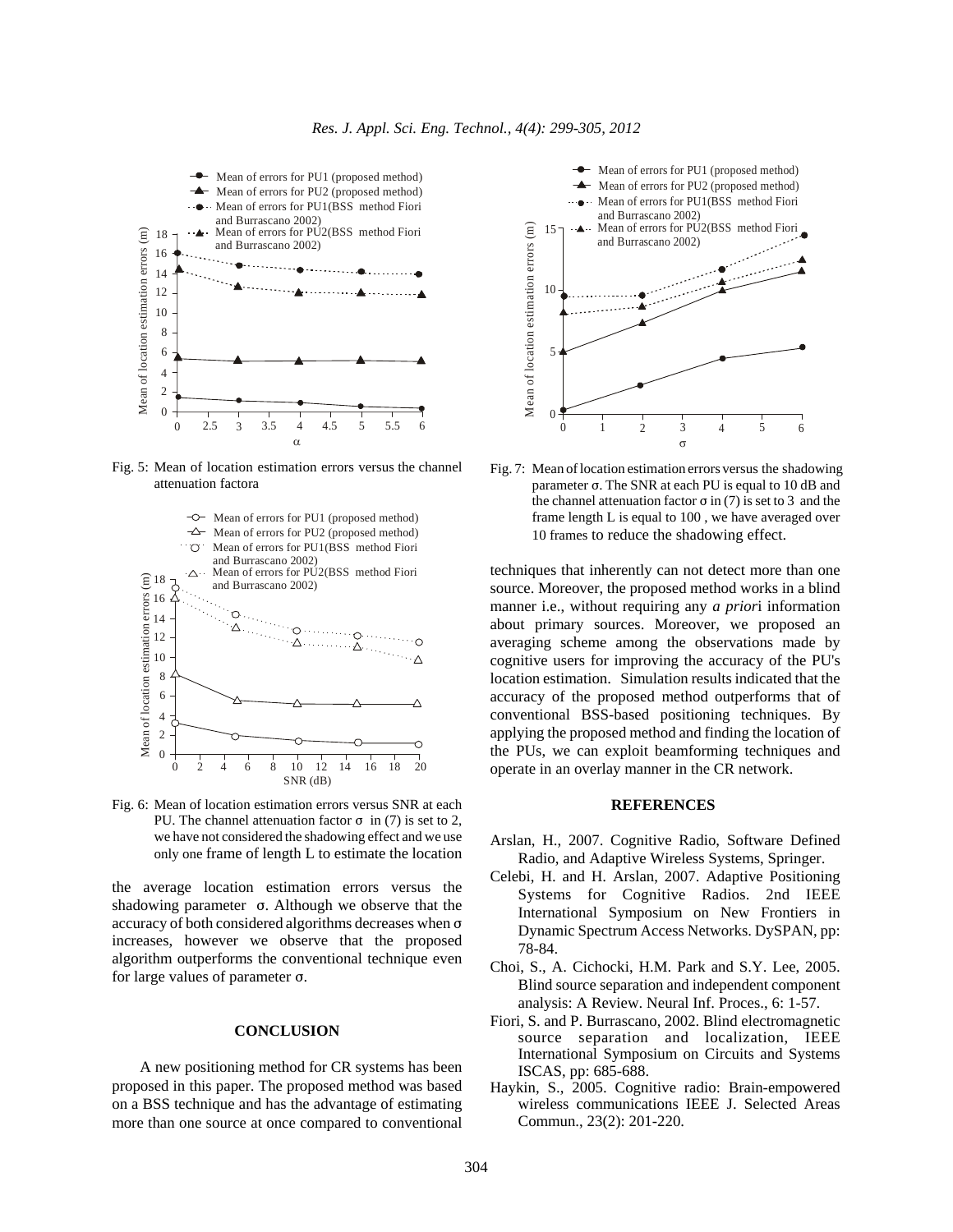

Fig. 5: Mean of location estimation errors versus the channel attenuation factora



Fig. 6: Mean of location estimation errors versus SNR at each PU. The channel attenuation factor  $\sigma$  in (7) is set to 2, we have not considered the shadowing effect and we use only one frame of length L to estimate the location

the average location estimation errors versus the shadowing parameter  $\sigma$ . Although we observe that the accuracy of both considered algorithms decreases when  $\sigma$ increases, however we observe that the proposed algorithm outperforms the conventional technique even for large values of parameter  $\sigma$ .

## **CONCLUSION**

A new positioning method for CR systems has been proposed in this paper. The proposed method was based on a BSS technique and has the advantage of estimating more than one source at once compared to conventional



Fig. 7: Mean of location estimation errors versus the shadowing parameter  $\sigma$ . The SNR at each PU is equal to 10 dB and the channel attenuation factor  $\sigma$  in (7) is set to 3 and the frame length L is equal to 100 , we have averaged over 10 frames to reduce the shadowing effect.

techniques that inherently can not detect more than one source. Moreover, the proposed method works in a blind manner i.e., without requiring any *a prior*i information about primary sources. Moreover, we proposed an averaging scheme among the observations made by cognitive users for improving the accuracy of the PU's location estimation. Simulation results indicated that the accuracy of the proposed method outperforms that of conventional BSS-based positioning techniques. By applying the proposed method and finding the location of the PUs, we can exploit beamforming techniques and operate in an overlay manner in the CR network.

# **REFERENCES**

- Arslan, H., 2007. Cognitive Radio, Software Defined Radio, and Adaptive Wireless Systems, Springer.
- Celebi, H. and H. Arslan, 2007. Adaptive Positioning Systems for Cognitive Radios. 2nd IEEE International Symposium on New Frontiers in Dynamic Spectrum Access Networks. DySPAN, pp: 78-84.
- Choi, S., A. Cichocki, H.M. Park and S.Y. Lee, 2005. Blind source separation and independent component analysis: A Review. Neural Inf. Proces., 6: 1-57.
- Fiori, S. and P. Burrascano, 2002. Blind electromagnetic source separation and localization, IEEE International Symposium on Circuits and Systems ISCAS, pp: 685-688.
- Haykin, S., 2005. Cognitive radio: Brain-empowered wireless communications IEEE J. Selected Areas Commun., 23(2): 201-220.